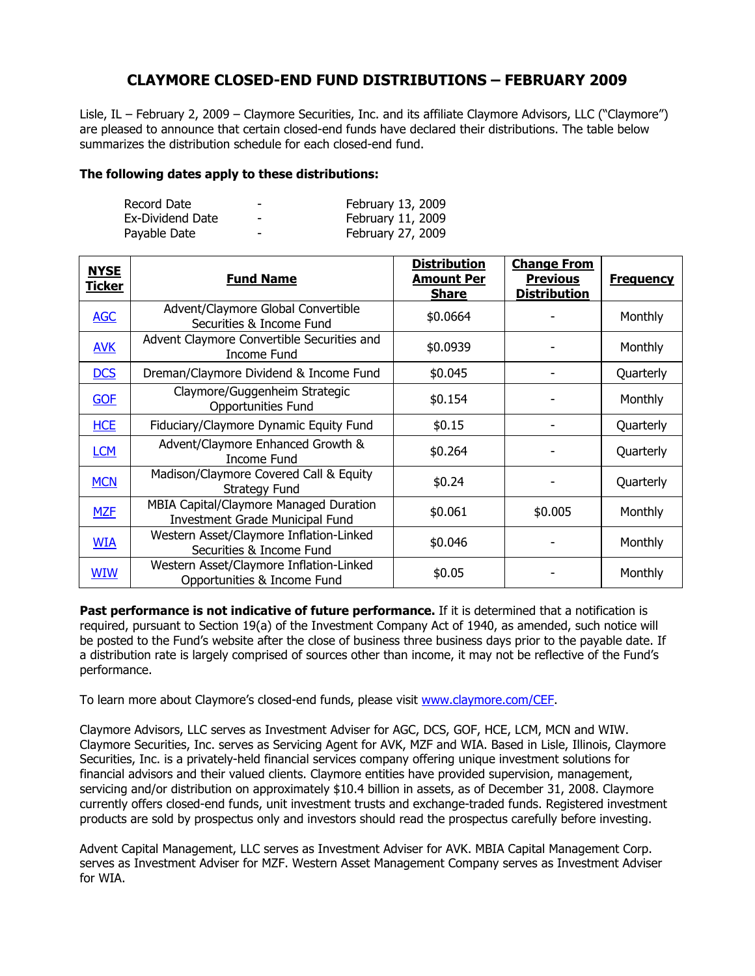## **CLAYMORE CLOSED-END FUND DISTRIBUTIONS – FEBRUARY 2009**

Lisle, IL – February 2, 2009 – Claymore Securities, Inc. and its affiliate Claymore Advisors, LLC ("Claymore") are pleased to announce that certain closed-end funds have declared their distributions. The table below summarizes the distribution schedule for each closed-end fund.

## **The following dates apply to these distributions:**

| Record Date      | -                        | February 13, 2009 |
|------------------|--------------------------|-------------------|
| Ex-Dividend Date | $\overline{\phantom{0}}$ | February 11, 2009 |
| Payable Date     | -                        | February 27, 2009 |

| <b>NYSE</b><br><u>Ticker</u> | <b>Fund Name</b>                                                                 | <b>Distribution</b><br><b>Amount Per</b><br><b>Share</b> | <b>Change From</b><br><b>Previous</b><br><b>Distribution</b> | <b>Frequency</b> |
|------------------------------|----------------------------------------------------------------------------------|----------------------------------------------------------|--------------------------------------------------------------|------------------|
| <b>AGC</b>                   | Advent/Claymore Global Convertible<br>Securities & Income Fund                   | \$0.0664                                                 |                                                              | <b>Monthly</b>   |
| <b>AVK</b>                   | Advent Claymore Convertible Securities and<br>Income Fund                        | \$0.0939                                                 |                                                              | Monthly          |
| <b>DCS</b>                   | Dreman/Claymore Dividend & Income Fund                                           | \$0.045                                                  |                                                              | Quarterly        |
| <b>GOF</b>                   | Claymore/Guggenheim Strategic<br><b>Opportunities Fund</b>                       | \$0.154                                                  |                                                              | <b>Monthly</b>   |
| <b>HCE</b>                   | Fiduciary/Claymore Dynamic Equity Fund                                           | \$0.15                                                   |                                                              | Quarterly        |
| <b>LCM</b>                   | Advent/Claymore Enhanced Growth &<br>Income Fund                                 | \$0.264                                                  |                                                              | Quarterly        |
| <b>MCN</b>                   | Madison/Claymore Covered Call & Equity<br><b>Strategy Fund</b>                   | \$0.24                                                   |                                                              | Quarterly        |
| <b>MZF</b>                   | MBIA Capital/Claymore Managed Duration<br><b>Investment Grade Municipal Fund</b> | \$0.061                                                  | \$0.005                                                      | Monthly          |
| <b>WIA</b>                   | Western Asset/Claymore Inflation-Linked<br>Securities & Income Fund              | \$0.046                                                  |                                                              | Monthly          |
| <b>WIW</b>                   | Western Asset/Claymore Inflation-Linked<br>Opportunities & Income Fund           | \$0.05                                                   |                                                              | Monthly          |

**Past performance is not indicative of future performance.** If it is determined that a notification is required, pursuant to Section 19(a) of the Investment Company Act of 1940, as amended, such notice will be posted to the Fund's website after the close of business three business days prior to the payable date. If a distribution rate is largely comprised of sources other than income, it may not be reflective of the Fund's performance.

To learn more about Claymore's closed-end funds, please visit www.claymore.com/CEF.

Claymore Advisors, LLC serves as Investment Adviser for AGC, DCS, GOF, HCE, LCM, MCN and WIW. Claymore Securities, Inc. serves as Servicing Agent for AVK, MZF and WIA. Based in Lisle, Illinois, Claymore Securities, Inc. is a privately-held financial services company offering unique investment solutions for financial advisors and their valued clients. Claymore entities have provided supervision, management, servicing and/or distribution on approximately \$10.4 billion in assets, as of December 31, 2008. Claymore currently offers closed-end funds, unit investment trusts and exchange-traded funds. Registered investment products are sold by prospectus only and investors should read the prospectus carefully before investing.

Advent Capital Management, LLC serves as Investment Adviser for AVK. MBIA Capital Management Corp. serves as Investment Adviser for MZF. Western Asset Management Company serves as Investment Adviser for WIA.